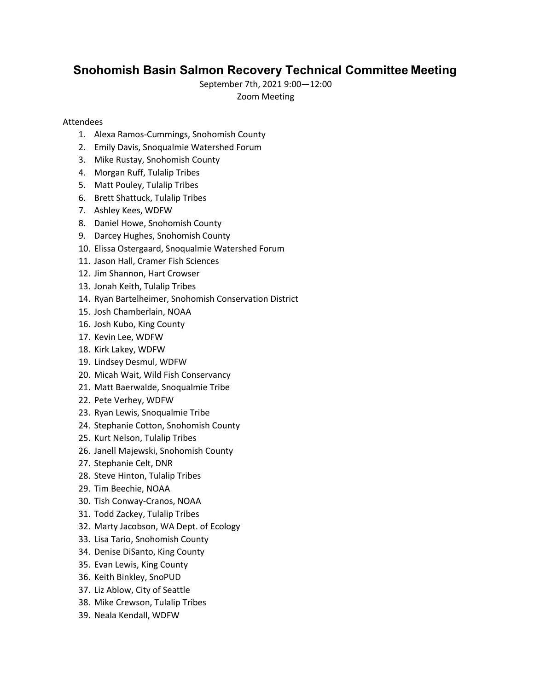# **Snohomish Basin Salmon Recovery Technical Committee Meeting**

September 7th, 2021 9:00—12:00 

Zoom Meeting 

## Attendees

- 1. Alexa Ramos-Cummings, Snohomish County
- 2. Emily Davis, Snoqualmie Watershed Forum
- 3. Mike Rustay, Snohomish County
- 4. Morgan Ruff, Tulalip Tribes
- 5. Matt Pouley, Tulalip Tribes
- 6. Brett Shattuck, Tulalip Tribes
- 7. Ashley Kees, WDFW
- 8. Daniel Howe, Snohomish County
- 9. Darcey Hughes, Snohomish County
- 10. Elissa Ostergaard, Snoqualmie Watershed Forum
- 11. Jason Hall, Cramer Fish Sciences
- 12. Jim Shannon, Hart Crowser
- 13. Jonah Keith, Tulalip Tribes
- 14. Ryan Bartelheimer, Snohomish Conservation District
- 15. Josh Chamberlain, NOAA
- 16. Josh Kubo, King County
- 17. Kevin Lee, WDFW
- 18. Kirk Lakey, WDFW
- 19. Lindsey Desmul, WDFW
- 20. Micah Wait, Wild Fish Conservancy
- 21. Matt Baerwalde, Snoqualmie Tribe
- 22. Pete Verhey, WDFW
- 23. Ryan Lewis, Snoqualmie Tribe
- 24. Stephanie Cotton, Snohomish County
- 25. Kurt Nelson, Tulalip Tribes
- 26. Janell Majewski, Snohomish County
- 27. Stephanie Celt, DNR
- 28. Steve Hinton, Tulalip Tribes
- 29. Tim Beechie, NOAA
- 30. Tish Conway-Cranos, NOAA
- 31. Todd Zackey, Tulalip Tribes
- 32. Marty Jacobson, WA Dept. of Ecology
- 33. Lisa Tario, Snohomish County
- 34. Denise DiSanto, King County
- 35. Evan Lewis, King County
- 36. Keith Binkley, SnoPUD
- 37. Liz Ablow, City of Seattle
- 38. Mike Crewson, Tulalip Tribes
- 39. Neala Kendall, WDFW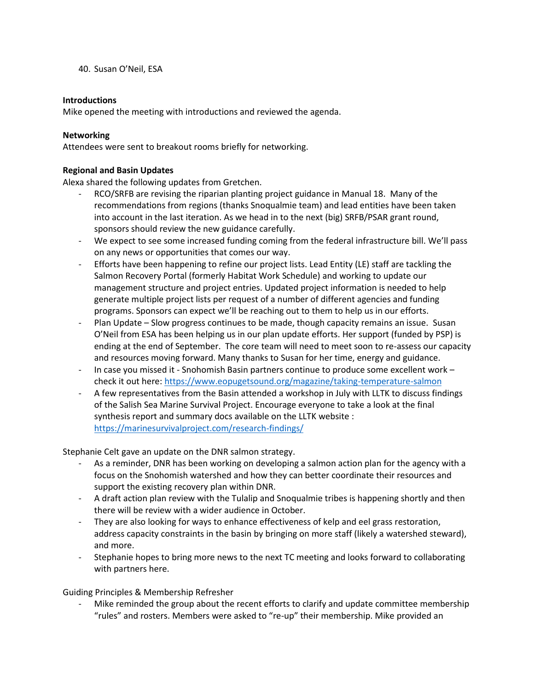40. Susan O'Neil, ESA

### **Introductions**

Mike opened the meeting with introductions and reviewed the agenda.

#### **Networking**

Attendees were sent to breakout rooms briefly for networking.

#### **Regional and Basin Updates**

Alexa shared the following updates from Gretchen.

- RCO/SRFB are revising the riparian planting project guidance in Manual 18. Many of the recommendations from regions (thanks Snoqualmie team) and lead entities have been taken into account in the last iteration. As we head in to the next (big) SRFB/PSAR grant round, sponsors should review the new guidance carefully.
- We expect to see some increased funding coming from the federal infrastructure bill. We'll pass on any news or opportunities that comes our way.
- Efforts have been happening to refine our project lists. Lead Entity (LE) staff are tackling the Salmon Recovery Portal (formerly Habitat Work Schedule) and working to update our management structure and project entries. Updated project information is needed to help generate multiple project lists per request of a number of different agencies and funding programs. Sponsors can expect we'll be reaching out to them to help us in our efforts.
- Plan Update Slow progress continues to be made, though capacity remains an issue. Susan O'Neil from ESA has been helping us in our plan update efforts. Her support (funded by PSP) is ending at the end of September. The core team will need to meet soon to re-assess our capacity and resources moving forward. Many thanks to Susan for her time, energy and guidance.
- In case you missed it Snohomish Basin partners continue to produce some excellent work check it out here: [https://www.eopugetsound.org/magazine/taking-temperature-salmon](https://gcc02.safelinks.protection.outlook.com/?url=https%3A%2F%2Fwww.eopugetsound.org%2Fmagazine%2Ftaking-temperature-salmon&data=04%7C01%7CAlexa.Ramos-Cummings%40co.snohomish.wa.us%7C7deb9c18a4f14465757608d971f9add4%7C6bd456aabc074218897c4d0a6a503ee2%7C1%7C0%7C637666139563689056%7CUnknown%7CTWFpbGZsb3d8eyJWIjoiMC4wLjAwMDAiLCJQIjoiV2luMzIiLCJBTiI6Ik1haWwiLCJXVCI6Mn0%3D%7C1000&sdata=I9HdAaE98WW4rnlZFxNmacjuUx6VyAGCFeqjIfbl5SY%3D&reserved=0)
- A few representatives from the Basin attended a workshop in July with LLTK to discuss findings of the Salish Sea Marine Survival Project. Encourage everyone to take a look at the final synthesis report and summary docs available on the LLTK website : <https://marinesurvivalproject.com/research-findings/>

Stephanie Celt gave an update on the DNR salmon strategy.

- As a reminder, DNR has been working on developing a salmon action plan for the agency with a focus on the Snohomish watershed and how they can better coordinate their resources and support the existing recovery plan within DNR.
- A draft action plan review with the Tulalip and Snoqualmie tribes is happening shortly and then there will be review with a wider audience in October.
- They are also looking for ways to enhance effectiveness of kelp and eel grass restoration, address capacity constraints in the basin by bringing on more staff (likely a watershed steward), and more.
- Stephanie hopes to bring more news to the next TC meeting and looks forward to collaborating with partners here.

### Guiding Principles & Membership Refresher

Mike reminded the group about the recent efforts to clarify and update committee membership "rules" and rosters. Members were asked to "re-up" their membership. Mike provided an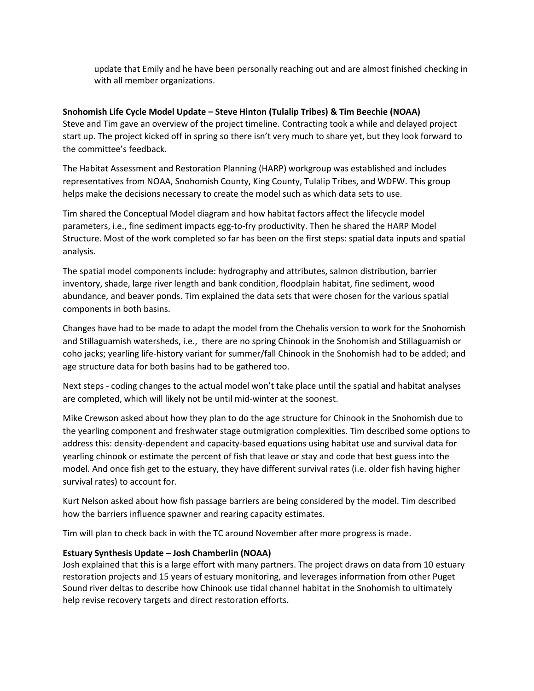update that Emily and he have been personally reaching out and are almost finished checking in with all member organizations.

### **Snohomish Life Cycle Model Update – Steve Hinton (Tulalip Tribes) & Tim Beechie (NOAA)**

Steve and Tim gave an overview of the project timeline. Contracting took a while and delayed project start up. The project kicked off in spring so there isn't very much to share yet, but they look forward to the committee's feedback.

The Habitat Assessment and Restoration Planning (HARP) workgroup was established and includes representatives from NOAA, Snohomish County, King County, Tulalip Tribes, and WDFW. This group helps make the decisions necessary to create the model such as which data sets to use.

Tim shared the Conceptual Model diagram and how habitat factors affect the lifecycle model parameters, i.e., fine sediment impacts egg-to-fry productivity. Then he shared the HARP Model Structure. Most of the work completed so far has been on the first steps: spatial data inputs and spatial analysis.

The spatial model components include: hydrography and attributes, salmon distribution, barrier inventory, shade, large river length and bank condition, floodplain habitat, fine sediment, wood abundance, and beaver ponds. Tim explained the data sets that were chosen for the various spatial components in both basins.

Changes have had to be made to adapt the model from the Chehalis version to work for the Snohomish and Stillaguamish watersheds, i.e., there are no spring Chinook in the Snohomish and Stillaguamish or coho jacks; yearling life-history variant for summer/fall Chinook in the Snohomish had to be added; and age structure data for both basins had to be gathered too.

Next steps - coding changes to the actual model won't take place until the spatial and habitat analyses are completed, which will likely not be until mid-winter at the soonest.

Mike Crewson asked about how they plan to do the age structure for Chinook in the Snohomish due to the yearling component and freshwater stage outmigration complexities. Tim described some options to address this: density-dependent and capacity-based equations using habitat use and survival data for yearling chinook or estimate the percent of fish that leave or stay and code that best guess into the model. And once fish get to the estuary, they have different survival rates (i.e. older fish having higher survival rates) to account for.

Kurt Nelson asked about how fish passage barriers are being considered by the model. Tim described how the barriers influence spawner and rearing capacity estimates.

Tim will plan to check back in with the TC around November after more progress is made.

### **Estuary Synthesis Update – Josh Chamberlin (NOAA)**

Josh explained that this is a large effort with many partners. The project draws on data from 10 estuary restoration projects and 15 years of estuary monitoring, and leverages information from other Puget Sound river deltas to describe how Chinook use tidal channel habitat in the Snohomish to ultimately help revise recovery targets and direct restoration efforts.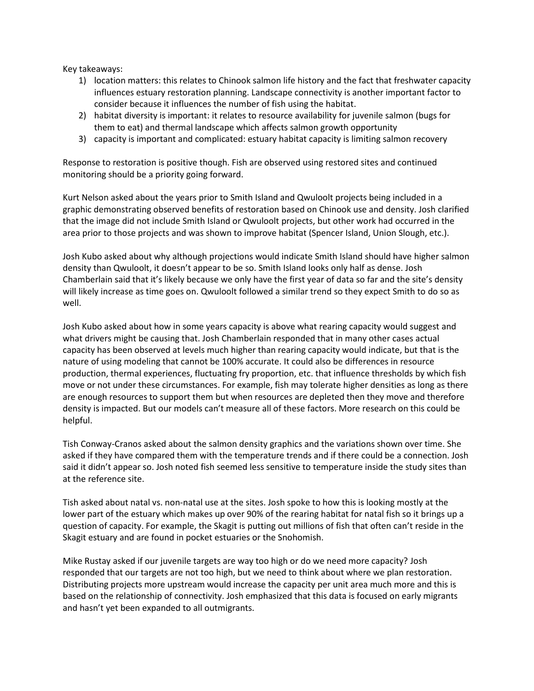Key takeaways:

- 1) location matters: this relates to Chinook salmon life history and the fact that freshwater capacity influences estuary restoration planning. Landscape connectivity is another important factor to consider because it influences the number of fish using the habitat.
- 2) habitat diversity is important: it relates to resource availability for juvenile salmon (bugs for them to eat) and thermal landscape which affects salmon growth opportunity
- 3) capacity is important and complicated: estuary habitat capacity is limiting salmon recovery

Response to restoration is positive though. Fish are observed using restored sites and continued monitoring should be a priority going forward.

Kurt Nelson asked about the years prior to Smith Island and Qwuloolt projects being included in a graphic demonstrating observed benefits of restoration based on Chinook use and density. Josh clarified that the image did not include Smith Island or Qwuloolt projects, but other work had occurred in the area prior to those projects and was shown to improve habitat (Spencer Island, Union Slough, etc.).

Josh Kubo asked about why although projections would indicate Smith Island should have higher salmon density than Qwuloolt, it doesn't appear to be so. Smith Island looks only half as dense. Josh Chamberlain said that it's likely because we only have the first year of data so far and the site's density will likely increase as time goes on. Qwuloolt followed a similar trend so they expect Smith to do so as well.

Josh Kubo asked about how in some years capacity is above what rearing capacity would suggest and what drivers might be causing that. Josh Chamberlain responded that in many other cases actual capacity has been observed at levels much higher than rearing capacity would indicate, but that is the nature of using modeling that cannot be 100% accurate. It could also be differences in resource production, thermal experiences, fluctuating fry proportion, etc. that influence thresholds by which fish move or not under these circumstances. For example, fish may tolerate higher densities as long as there are enough resources to support them but when resources are depleted then they move and therefore density is impacted. But our models can't measure all of these factors. More research on this could be helpful.

Tish Conway-Cranos asked about the salmon density graphics and the variations shown over time. She asked if they have compared them with the temperature trends and if there could be a connection. Josh said it didn't appear so. Josh noted fish seemed less sensitive to temperature inside the study sites than at the reference site.

Tish asked about natal vs. non-natal use at the sites. Josh spoke to how this is looking mostly at the lower part of the estuary which makes up over 90% of the rearing habitat for natal fish so it brings up a question of capacity. For example, the Skagit is putting out millions of fish that often can't reside in the Skagit estuary and are found in pocket estuaries or the Snohomish.

Mike Rustay asked if our juvenile targets are way too high or do we need more capacity? Josh responded that our targets are not too high, but we need to think about where we plan restoration. Distributing projects more upstream would increase the capacity per unit area much more and this is based on the relationship of connectivity. Josh emphasized that this data is focused on early migrants and hasn't yet been expanded to all outmigrants.